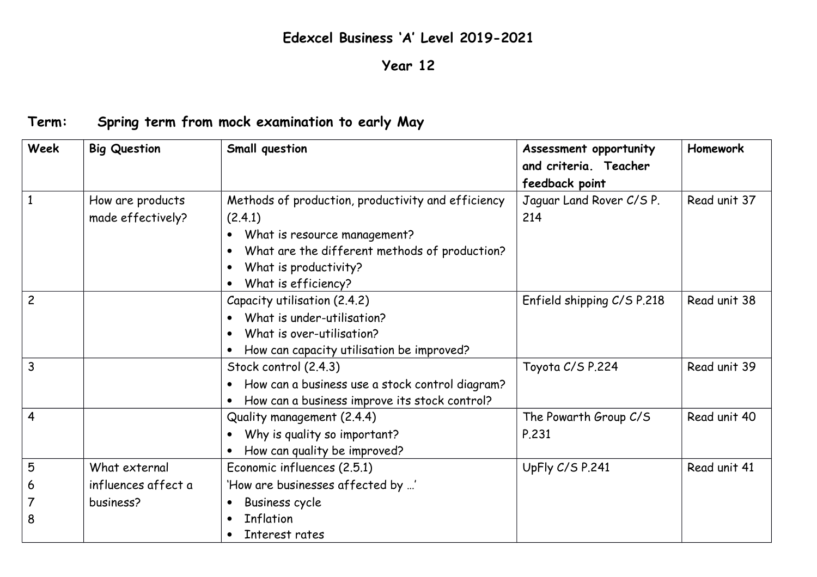## **Edexcel Business 'A' Level 2019-2021**

## **Year 12**

## **Term: Spring term from mock examination to early May**

| Week           | <b>Big Question</b> | Small question                                               | Assessment opportunity     | Homework     |
|----------------|---------------------|--------------------------------------------------------------|----------------------------|--------------|
|                |                     |                                                              | and criteria. Teacher      |              |
|                |                     |                                                              | feedback point             |              |
| $\mathbf{1}$   | How are products    | Methods of production, productivity and efficiency           | Jaquar Land Rover C/S P.   | Read unit 37 |
|                | made effectively?   | (2.4.1)                                                      | 214                        |              |
|                |                     | What is resource management?<br>$\bullet$                    |                            |              |
|                |                     | What are the different methods of production?<br>$\bullet$   |                            |              |
|                |                     | What is productivity?<br>$\bullet$                           |                            |              |
|                |                     | What is efficiency?<br>$\bullet$                             |                            |              |
| $\overline{c}$ |                     | Capacity utilisation (2.4.2)                                 | Enfield shipping C/S P.218 | Read unit 38 |
|                |                     | What is under-utilisation?                                   |                            |              |
|                |                     | What is over-utilisation?<br>$\bullet$                       |                            |              |
|                |                     | How can capacity utilisation be improved?                    |                            |              |
| $\overline{3}$ |                     | Stock control (2.4.3)                                        | Toyota C/S P.224           | Read unit 39 |
|                |                     | How can a business use a stock control diagram?<br>$\bullet$ |                            |              |
|                |                     | How can a business improve its stock control?<br>$\bullet$   |                            |              |
| $\overline{4}$ |                     | Quality management (2.4.4)                                   | The Powarth Group C/S      | Read unit 40 |
|                |                     | Why is quality so important?                                 | P.231                      |              |
|                |                     | How can quality be improved?                                 |                            |              |
| 5              | What external       | Economic influences (2.5.1)                                  | UpFly C/S P.241            | Read unit 41 |
| 6              | influences affect a | 'How are businesses affected by '                            |                            |              |
| 7              | business?           | <b>Business cycle</b><br>$\bullet$                           |                            |              |
| 8              |                     | <b>Inflation</b><br>$\bullet$                                |                            |              |
|                |                     | Interest rates<br>$\bullet$                                  |                            |              |